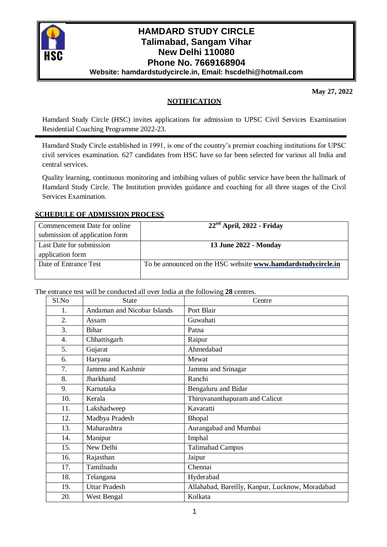

# **HAMDARD STUDY CIRCLE Talimabad, Sangam Vihar New Delhi 110080 Phone No. 7669168904 Website: hamdardstudycircle.in, Email: hscdelhi@hotmail.com**

**May 27, 2022**

## **NOTIFICATION**

Hamdard Study Circle (HSC) invites applications for admission to UPSC Civil Services Examination Residential Coaching Programme 2022-23.

Hamdard Study Circle established in 1991, is one of the country's premier coaching institutions for UPSC civil services examination. 627 candidates from HSC have so far been selected for various all India and central services.

Quality learning, continuous monitoring and imbibing values of public service have been the hallmark of Hamdard Study Circle. The Institution provides guidance and coaching for all three stages of the Civil Services Examination.

#### **SCHEDULE OF ADMISSION PROCESS**

| Commencement Date for online   | $22nd$ April, 2022 - Friday                                         |
|--------------------------------|---------------------------------------------------------------------|
| submission of application form |                                                                     |
| Last Date for submission       | 13 June 2022 - Monday                                               |
| application form               |                                                                     |
| Date of Entrance Test          | To be announced on the HSC website <b>www.hamdardstudycircle.in</b> |
|                                |                                                                     |

The entrance test will be conducted all over India at the following **28** centres.

| Sl.No            | <b>State</b>                | Centre                                          |
|------------------|-----------------------------|-------------------------------------------------|
| 1.               | Andaman and Nicobar Islands | Port Blair                                      |
| 2.               | Assam                       | Guwahati                                        |
| 3.               | Bihar                       | Patna                                           |
| $\overline{4}$ . | Chhattisgarh                | Raipur                                          |
| 5.               | Gujarat                     | Ahmedabad                                       |
| 6.               | Haryana                     | Mewat                                           |
| 7.               | Jammu and Kashmir           | Jammu and Srinagar                              |
| 8.               | Jharkhand                   | Ranchi                                          |
| 9.               | Karnataka                   | Bengaluru and Bidar                             |
| 10.              | Kerala                      | Thiruvananthapuram and Calicut                  |
| 11.              | Lakshadweep                 | Kavaratti                                       |
| 12.              | Madhya Pradesh              | Bhopal                                          |
| 13.              | Maharashtra                 | Aurangabad and Mumbai                           |
| 14.              | Manipur                     | Imphal                                          |
| 15.              | New Delhi                   | <b>Talimabad Campus</b>                         |
| 16.              | Rajasthan                   | Jaipur                                          |
| 17.              | Tamilnadu                   | Chennai                                         |
| 18.              | Telangana                   | Hyderabad                                       |
| 19.              | <b>Uttar Pradesh</b>        | Allahabad, Bareilly, Kanpur, Lucknow, Moradabad |
| 20.              | West Bengal                 | Kolkata                                         |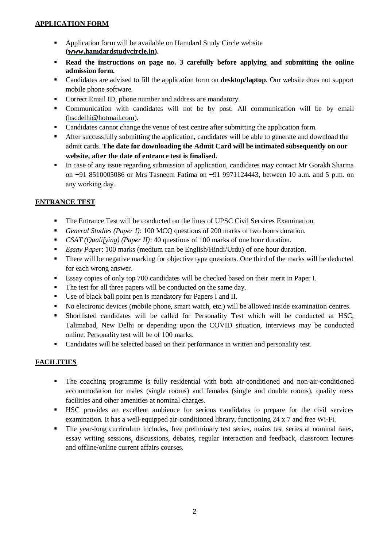## **APPLICATION FORM**

- Application form will be available on Hamdard Study Circle website **[\(www.hamdardstudycircle.in\)](http://www.hamdardstudycircle.in/).**
- **Read the instructions on page no. 3 carefully before applying and submitting the online admission form.**
- Candidates are advised to fill the application form on **desktop/laptop**. Our website does not support mobile phone software.
- **Correct Email ID, phone number and address are mandatory.**
- Communication with candidates will not be by post. All communication will be by email [\(hscdelhi@hotmail.com\)](mailto:hscdelhi@hotmail.com).
- Candidates cannot change the venue of test centre after submitting the application form.
- After successfully submitting the application, candidates will be able to generate and download the admit cards. **The date for downloading the Admit Card will be intimated subsequently on our website, after the date of entrance test is finalised.**
- In case of any issue regarding submission of application, candidates may contact Mr Gorakh Sharma on +91 8510005086 or Mrs Tasneem Fatima on +91 9971124443, between 10 a.m. and 5 p.m. on any working day.

## **ENTRANCE TEST**

- The Entrance Test will be conducted on the lines of UPSC Civil Services Examination.
- *General Studies (Paper I)*: 100 MCQ questions of 200 marks of two hours duration.
- *CSAT (Qualifying) (Paper II)*: 40 questions of 100 marks of one hour duration.
- *Essay Paper*: 100 marks (medium can be English/Hindi/Urdu) of one hour duration.
- There will be negative marking for objective type questions. One third of the marks will be deducted for each wrong answer.
- Essay copies of only top 700 candidates will be checked based on their merit in Paper I.
- The test for all three papers will be conducted on the same day.
- Use of black ball point pen is mandatory for Papers I and II.
- No electronic devices (mobile phone, smart watch, etc.) will be allowed inside examination centres.
- Shortlisted candidates will be called for Personality Test which will be conducted at HSC, Talimabad, New Delhi or depending upon the COVID situation, interviews may be conducted online. Personality test will be of 100 marks.
- **Candidates will be selected based on their performance in written and personality test.**

## **FACILITIES**

- The coaching programme is fully residential with both air-conditioned and non-air-conditioned accommodation for males (single rooms) and females (single and double rooms), quality mess facilities and other amenities at nominal charges.
- HSC provides an excellent ambience for serious candidates to prepare for the civil services examination. It has a well-equipped air-conditioned library, functioning 24 x 7 and free Wi-Fi.
- The year-long curriculum includes, free preliminary test series, mains test series at nominal rates, essay writing sessions, discussions, debates, regular interaction and feedback, classroom lectures and offline/online current affairs courses.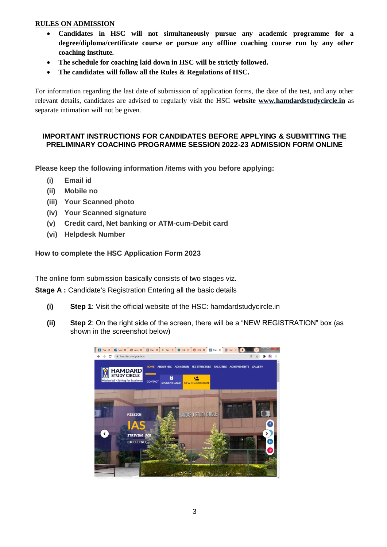### **RULES ON ADMISSION**

- **Candidates in HSC will not simultaneously pursue any academic programme for a degree/diploma/certificate course or pursue any offline coaching course run by any other coaching institute.**
- **The schedule for coaching laid down in HSC will be strictly followed.**
- **The candidates will follow all the Rules & Regulations of HSC.**

For information regarding the last date of submission of application forms, the date of the test, and any other relevant details, candidates are advised to regularly visit the HSC **website [www.hamdardstudycircle.in](http://www.hamdardstudycircle.in/)** as separate intimation will not be given.

#### **IMPORTANT INSTRUCTIONS FOR CANDIDATES BEFORE APPLYING & SUBMITTING THE PRELIMINARY COACHING PROGRAMME SESSION 2022-23 ADMISSION FORM ONLINE**

**Please keep the following information /items with you before applying:**

- **(i) Email id**
- **(ii) Mobile no**
- **(iii) Your Scanned photo**
- **(iv) Your Scanned signature**
- **(v) Credit card, Net banking or ATM-cum-Debit card**
- **(vi) Helpdesk Number**

#### **How to complete the HSC Application Form 2023**

The online form submission basically consists of two stages viz.

**Stage A :** Candidate's Registration Entering all the basic details

- **(i) Step 1**: Visit the official website of the HSC: hamdardstudycircle.in
- **(ii) Step 2**: On the right side of the screen, there will be a "NEW REGISTRATION" box (as shown in the screenshot below)

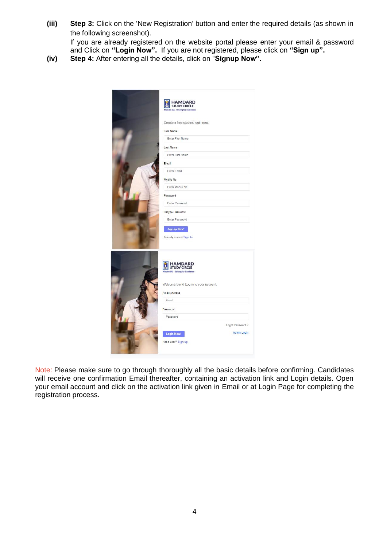**(iii) Step 3:** Click on the 'New Registration' button and enter the required details (as shown in the following screenshot).

If you are already registered on the website portal please enter your email & password and Click on **"Login Now".** If you are not registered, please click on **"Sign up".**

**(iv) Step 4:** After entering all the details, click on "**Signup Now".**

| <b>HAMDARD</b><br><b>STUDY CIRCLE</b><br>Mission IAS - Striving for Excellence                                               |  |
|------------------------------------------------------------------------------------------------------------------------------|--|
| Create a free student login now.                                                                                             |  |
| First Name                                                                                                                   |  |
| Enter First Name                                                                                                             |  |
| Last Name                                                                                                                    |  |
| Enter Last Name                                                                                                              |  |
| Email                                                                                                                        |  |
| Enter Email                                                                                                                  |  |
| Mobile No.                                                                                                                   |  |
| Enter Mobile No                                                                                                              |  |
| Password                                                                                                                     |  |
| Enter Password                                                                                                               |  |
|                                                                                                                              |  |
| Retype Password<br>Enter Password                                                                                            |  |
| <b>Signup Now!</b><br>Already a user? Sign In                                                                                |  |
| <b>HAMDARD</b><br><b>STUDY CIRCLE</b><br>m<br>Mission IAS - Striving for Excellence<br>Welcome back! Log in to your account. |  |
| Email address                                                                                                                |  |
| Email                                                                                                                        |  |
| Password                                                                                                                     |  |
| Password                                                                                                                     |  |
| Fogot Password?                                                                                                              |  |
| Admin Login<br><b>Login Now!</b>                                                                                             |  |
| Not a user? Sign up                                                                                                          |  |

Note: Please make sure to go through thoroughly all the basic details before confirming. Candidates will receive one confirmation Email thereafter, containing an activation link and Login details. Open your email account and click on the activation link given in Email or at Login Page for completing the registration process.